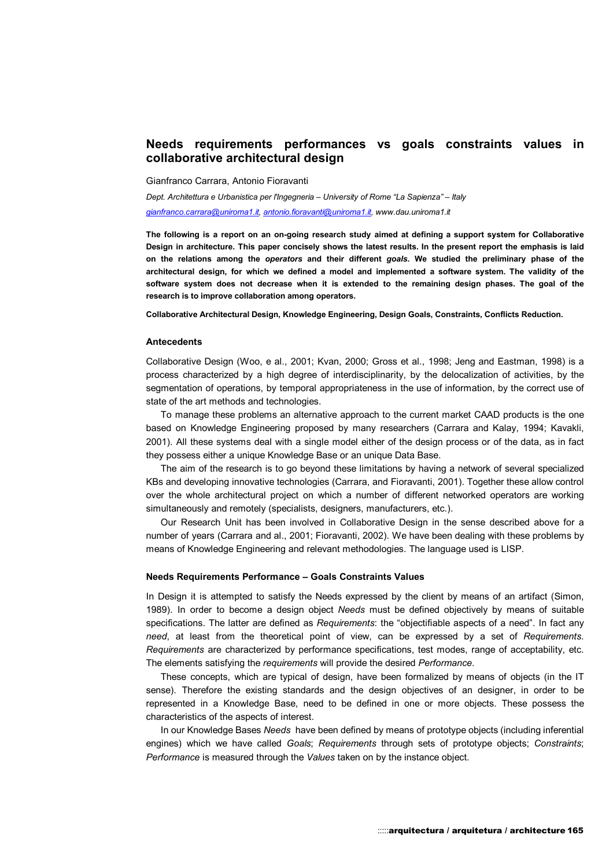# **Needs requirements performances vs goals constraints values in collaborative architectural design**

Gianfranco Carrara, Antonio Fioravanti

*Dept. Architettura e Urbanistica per l'Ingegneria – University of Rome "La Sapienza" – Italy* 

*gianfranco.carrara@uniroma1.it, antonio.fioravanti@uniroma1.it, www.dau.uniroma1.it*

**The following is a report on an on-going research study aimed at defining a support system for Collaborative Design in architecture. This paper concisely shows the latest results. In the present report the emphasis is laid on the relations among the** *operators* **and their different** *goals***. We studied the preliminary phase of the architectural design, for which we defined a model and implemented a software system. The validity of the software system does not decrease when it is extended to the remaining design phases. The goal of the research is to improve collaboration among operators.** 

**Collaborative Architectural Design, Knowledge Engineering, Design Goals, Constraints, Conflicts Reduction.** 

#### **Antecedents**

Collaborative Design (Woo, e al., 2001; Kvan, 2000; Gross et al., 1998; Jeng and Eastman, 1998) is a process characterized by a high degree of interdisciplinarity, by the delocalization of activities, by the segmentation of operations, by temporal appropriateness in the use of information, by the correct use of state of the art methods and technologies.

To manage these problems an alternative approach to the current market CAAD products is the one based on Knowledge Engineering proposed by many researchers (Carrara and Kalay, 1994; Kavakli, 2001). All these systems deal with a single model either of the design process or of the data, as in fact they possess either a unique Knowledge Base or an unique Data Base.

The aim of the research is to go beyond these limitations by having a network of several specialized KBs and developing innovative technologies (Carrara, and Fioravanti, 2001). Together these allow control over the whole architectural project on which a number of different networked operators are working simultaneously and remotely (specialists, designers, manufacturers, etc.).

Our Research Unit has been involved in Collaborative Design in the sense described above for a number of years (Carrara and al., 2001; Fioravanti, 2002). We have been dealing with these problems by means of Knowledge Engineering and relevant methodologies. The language used is LISP.

## **Needs Requirements Performance – Goals Constraints Values**

In Design it is attempted to satisfy the Needs expressed by the client by means of an artifact (Simon, 1989). In order to become a design object *Needs* must be defined objectively by means of suitable specifications. The latter are defined as *Requirements*: the "objectifiable aspects of a need". In fact any *need*, at least from the theoretical point of view, can be expressed by a set of *Requirements*. *Requirements* are characterized by performance specifications, test modes, range of acceptability, etc. The elements satisfying the *requirements* will provide the desired *Performance*.

These concepts, which are typical of design, have been formalized by means of objects (in the IT sense). Therefore the existing standards and the design objectives of an designer, in order to be represented in a Knowledge Base, need to be defined in one or more objects. These possess the characteristics of the aspects of interest.

In our Knowledge Bases *Needs* have been defined by means of prototype objects (including inferential engines) which we have called *Goals*; *Requirements* through sets of prototype objects; *Constraints*; *Performance* is measured through the *Values* taken on by the instance object.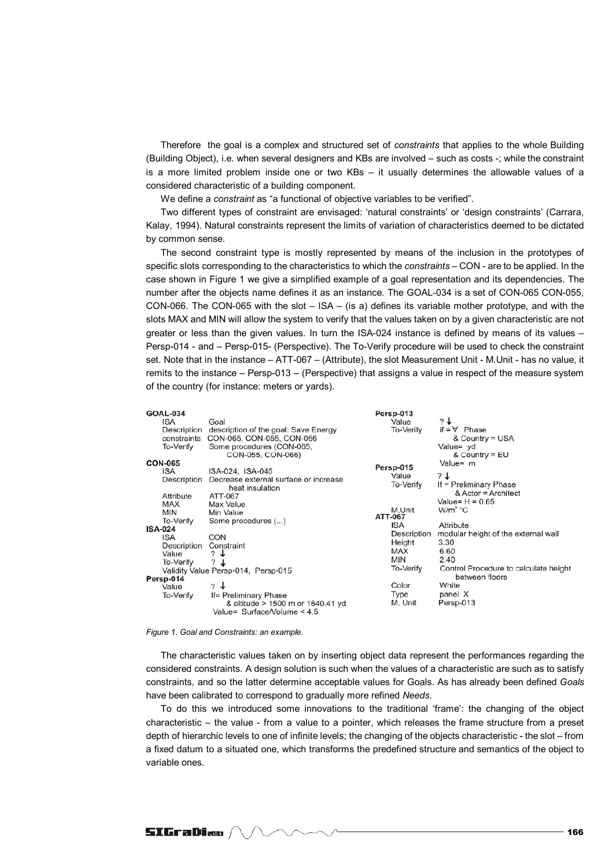Therefore the goal is a complex and structured set of *constraints* that applies to the whole Building (Building Object), i.e. when several designers and KBs are involved – such as costs -; while the constraint is a more limited problem inside one or two KBs – it usually determines the allowable values of a considered characteristic of a building component.

We define a *constraint* as "a functional of objective variables to be verified".

Two different types of constraint are envisaged: 'natural constraints' or 'design constraints' (Carrara, Kalay, 1994). Natural constraints represent the limits of variation of characteristics deemed to be dictated by common sense.

The second constraint type is mostly represented by means of the inclusion in the prototypes of specific slots corresponding to the characteristics to which the *constraints* – CON - are to be applied. In the case shown in Figure 1 we give a simplified example of a goal representation and its dependencies. The number after the objects name defines it as an instance. The GOAL-034 is a set of CON-065 CON-055, CON-066. The CON-065 with the slot – ISA – (is a) defines its variable mother prototype, and with the slots MAX and MIN will allow the system to verify that the values taken on by a given characteristic are not greater or less than the given values. In turn the ISA-024 instance is defined by means of its values – Persp-014 - and – Persp-015- (Perspective). The To-Verify procedure will be used to check the constraint set. Note that in the instance – ATT-067 – (Attribute), the slot Measurement Unit - M.Unit - has no value, it remits to the instance – Persp-013 – (Perspective) that assigns a value in respect of the measure system of the country (for instance: meters or yards).

#### *Figure 1. Goal and Constraints: an example.*

The characteristic values taken on by inserting object data represent the performances regarding the considered constraints. A design solution is such when the values of a characteristic are such as to satisfy constraints, and so the latter determine acceptable values for Goals. As has already been defined *Goals* have been calibrated to correspond to gradually more refined *Needs*.

To do this we introduced some innovations to the traditional 'frame': the changing of the object characteristic – the value - from a value to a pointer, which releases the frame structure from a preset depth of hierarchic levels to one of infinite levels; the changing of the objects characteristic - the slot – from a fixed datum to a situated one, which transforms the predefined structure and semantics of the object to variable ones.